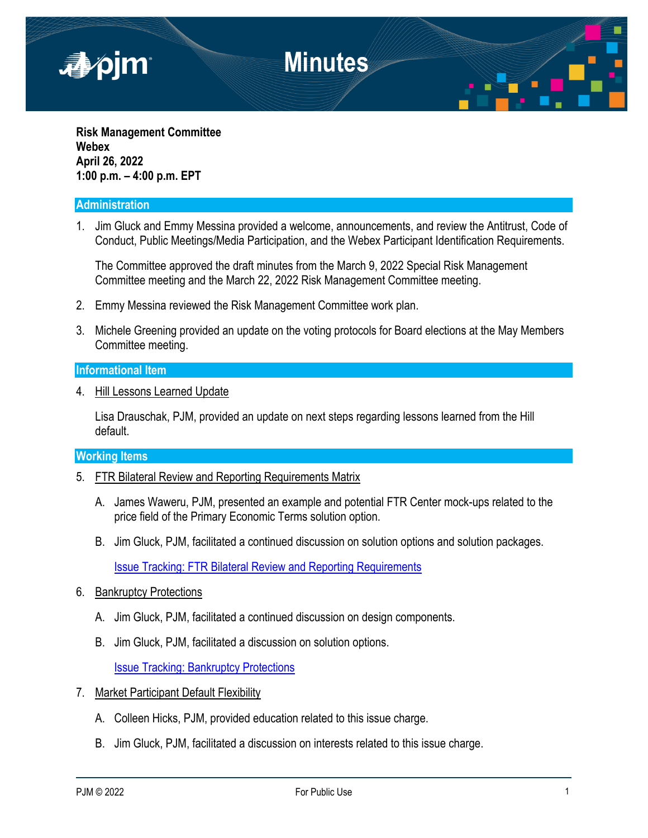

**Risk Management Committee Webex April 26, 2022 1:00 p.m. – 4:00 p.m. EPT**

#### **Administration**

1. Jim Gluck and Emmy Messina provided a welcome, announcements, and review the Antitrust, Code of Conduct, Public Meetings/Media Participation, and the Webex Participant Identification Requirements.

The Committee approved the draft minutes from the March 9, 2022 Special Risk Management Committee meeting and the March 22, 2022 Risk Management Committee meeting.

- 2. Emmy Messina reviewed the Risk Management Committee work plan.
- 3. Michele Greening provided an update on the voting protocols for Board elections at the May Members Committee meeting.

#### **Informational Item**

4. Hill Lessons Learned Update

Lisa Drauschak, PJM, provided an update on next steps regarding lessons learned from the Hill default.

#### **Working Items**

- 5. FTR Bilateral Review and Reporting Requirements Matrix
	- A. James Waweru, PJM, presented an example and potential FTR Center mock-ups related to the price field of the Primary Economic Terms solution option.
	- B. Jim Gluck, PJM, facilitated a continued discussion on solution options and solution packages.

[Issue Tracking: FTR Bilateral Review and Reporting Requirements](https://pjm.com/committees-and-groups/issue-tracking/issue-tracking-details.aspx?Issue=b2c1be66-9571-4332-b5b0-7984d40d67a0)

- 6. Bankruptcy Protections
	- A. Jim Gluck, PJM, facilitated a continued discussion on design components.
	- B. Jim Gluck, PJM, facilitated a discussion on solution options.

[Issue Tracking: Bankruptcy Protections](https://pjm.com/committees-and-groups/issue-tracking/issue-tracking-details.aspx?Issue=686f7356-146b-4fa8-8417-7ba0f8e9ba7c)

- 7. Market Participant Default Flexibility
	- A. Colleen Hicks, PJM, provided education related to this issue charge.
	- B. Jim Gluck, PJM, facilitated a discussion on interests related to this issue charge.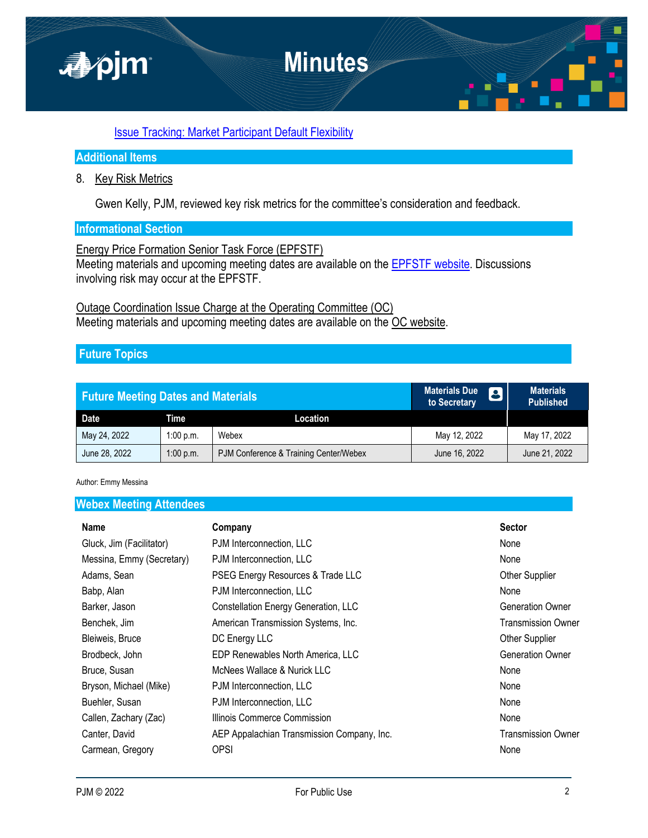

# [Issue Tracking: Market Participant Default Flexibility](https://pjm.com/committees-and-groups/issue-tracking/issue-tracking-details.aspx?Issue=bd8348bc-f0e2-4c19-8db9-0156f62c6846)

# **Additional Items**

### 8. Key Risk Metrics

Gwen Kelly, PJM, reviewed key risk metrics for the committee's consideration and feedback.

## **Informational Section**

Energy Price Formation Senior Task Force (EPFSTF)

Meeting materials and upcoming meeting dates are available on the [EPFSTF website.](https://pjm.com/committees-and-groups/task-forces/epfstf) Discussions involving risk may occur at the EPFSTF.

# Outage Coordination Issue Charge at the Operating Committee (OC) Meeting materials and upcoming meeting dates are available on the [OC website](https://www.pjm.com/committees-and-groups/committees/oc).

# **Future Topics**

| <b>Future Meeting Dates and Materials</b> |           |                                        | <b>Materials Due</b><br>to Secretary | <b>Materials</b><br><b>Published</b> |
|-------------------------------------------|-----------|----------------------------------------|--------------------------------------|--------------------------------------|
| Date                                      | Time      | Location                               |                                      |                                      |
| May 24, 2022                              | 1:00 p.m. | Webex                                  | May 12, 2022                         | May 17, 2022                         |
| June 28, 2022                             | 1:00 p.m. | PJM Conference & Training Center/Webex | June 16, 2022                        | June 21, 2022                        |

Author: Emmy Messina

### **Webex Meeting Attendees**

| <b>Name</b>               | Company                                    | <b>Sector</b>             |
|---------------------------|--------------------------------------------|---------------------------|
| Gluck, Jim (Facilitator)  | PJM Interconnection, LLC                   | None                      |
| Messina, Emmy (Secretary) | PJM Interconnection, LLC                   | None                      |
| Adams, Sean               | PSEG Energy Resources & Trade LLC          | <b>Other Supplier</b>     |
| Babp, Alan                | PJM Interconnection, LLC                   | None                      |
| Barker, Jason             | Constellation Energy Generation, LLC       | <b>Generation Owner</b>   |
| Benchek, Jim              | American Transmission Systems, Inc.        | Transmission Owner        |
| Bleiweis, Bruce           | DC Energy LLC                              | Other Supplier            |
| Brodbeck, John            | EDP Renewables North America, LLC          | <b>Generation Owner</b>   |
| Bruce, Susan              | McNees Wallace & Nurick LLC                | None                      |
| Bryson, Michael (Mike)    | PJM Interconnection, LLC                   | None                      |
| Buehler, Susan            | PJM Interconnection, LLC                   | None                      |
| Callen, Zachary (Zac)     | Illinois Commerce Commission               | None                      |
| Canter, David             | AEP Appalachian Transmission Company, Inc. | <b>Transmission Owner</b> |
| Carmean, Gregory          | OPSI                                       | None                      |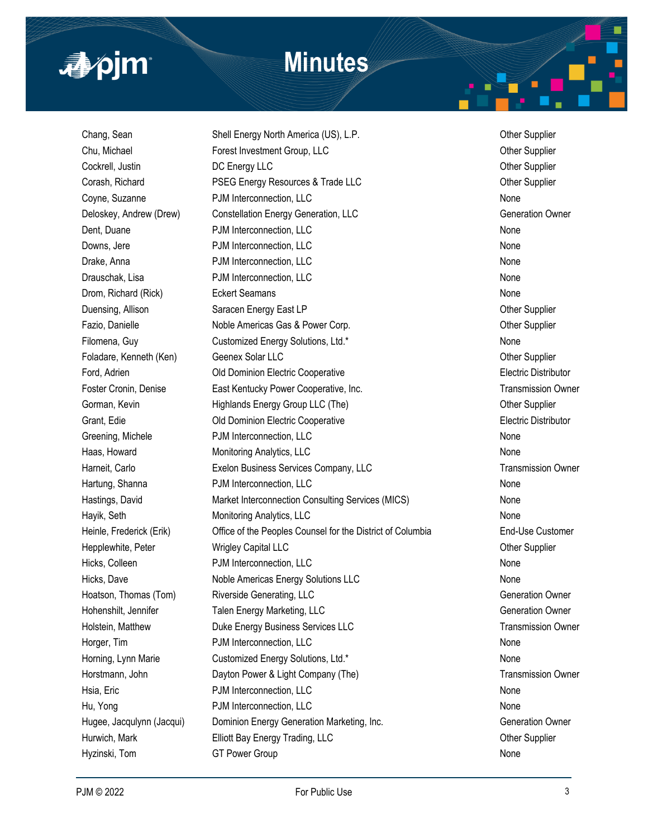

# **Minutes**

Hyzinski, Tom GT Power Group None

Chang, Sean Shell Energy North America (US), L.P. Chang, Sean Other Supplier Chu, Michael **Forest Investment Group, LLC** Chu, Michael Other Supplier Cockrell, Justin **COC Energy LLC** COC COCKRELL OUT COCKRELL OUT OUT CONTROLLER OUT DEVICE OF DEVICE OF Supplier Corash, Richard **PSEG Energy Resources & Trade LLC** Corash, Richard Other Supplier Coyne, Suzanne **PJM Interconnection, LLC** None **Coyne, Suzanne** None Deloskey, Andrew (Drew) Constellation Energy Generation, LLC Construction Construction Owner Dent, Duane **PJM Interconnection, LLC** None Downs, Jere **No. 2018** PDM Interconnection, LLC None Research Assembly the Mone Drake, Anna **PJM Interconnection, LLC** None **PJM Interconnection**, LLC Drauschak, Lisa **PJM Interconnection, LLC** None Drom, Richard (Rick) **Eckert Seamans** None None None None Duensing, Allison Saracen Energy East LP Contract Contract Contract Contract Contract Contract Contract Contract Contract Contract Contract Contract Contract Contract Contract Contract Contract Contract Contract Contract C Fazio, Danielle **Noble Americas Gas & Power Corp.** Communication of the Supplier Filomena, Guy Customized Energy Solutions, Ltd.\* The Customized Energy Solutions, Ltd.\* None Foladare, Kenneth (Ken) Geenex Solar LLC Other Supplier Ford, Adrien Old Dominion Electric Cooperative Electric Distributor Foster Cronin, Denise **East Kentucky Power Cooperative, Inc.** The Contemporary Cronic Computer Cronic Computer Gorman, Kevin **Example 2** Highlands Energy Group LLC (The) **Community Community** Community Cher Supplier Grant, Edie Old Dominion Electric Cooperative Electric Distributor Greening, Michele **Community PDM Interconnection, LLC** None **PJM Interconnection**, LLC Haas, Howard **Monitoring Analytics, LLC** None Mone Changes and Mone Changes and Mone Harneit, Carlo **Exelon Business Services Company, LLC** Transmission Owner Hartung, Shanna **PJM Interconnection, LLC** None **PJM Interconnection**, LLC Hastings, David Market Interconnection Consulting Services (MICS) None Hayik, Seth **Monitoring Analytics, LLC** None Mone None Heinle, Frederick (Erik) Office of the Peoples Counsel for the District of Columbia End-Use Customer Hepplewhite, Peter **Milkow** Wrigley Capital LLC **Communist Communist Communist Communist Communist Communist Communist Communist Communist Communist Communist Communist Communist Communist Communist Communist Communist Com** Hicks, Colleen **PJM Interconnection, LLC** None Hicks, Dave **Noble Americas Energy Solutions LLC** None Hoatson, Thomas (Tom) Riverside Generating, LLC Generation Owner Hohenshilt, Jennifer Talen Energy Marketing, LLC Generation Owner Holstein, Matthew **Natthew Communist Communist Communist Communist Communist Communist Communist Communist Communist Communist Communist Communist Communist Communist Communist Communist Communist Communist Communist Commu** Horger, Tim **Example 2018** PJM Interconnection, LLC None 2018 **PJM Interconnection**, LLC Horning, Lynn Marie **Customized Energy Solutions, Ltd.\*** None Horstmann, John **Dayton Power & Light Company (The)** Transmission Owner Hsia, Eric **No. 2018 PDM Interconnection, LLC** None None None Hu, Yong **PJM Interconnection, LLC** None **PJM Interconnection**, LLC Hugee, Jacqulynn (Jacqui) Dominion Energy Generation Marketing, Inc. Something Generation Owner Hurwich, Mark **Elliott Bay Energy Trading, LLC Communist Communist Communist Communist Communist Communist Communist Communist Communist Communist Communist Communist Communist Communist Communist Communist Communist Com**